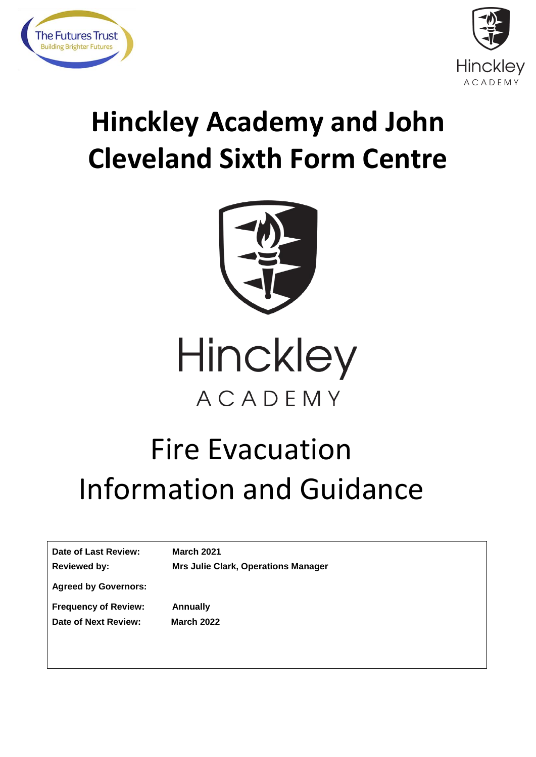



# **Hinckley Academy and John Cleveland Sixth Form Centre**



Hinckley ACADEMY

# Fire Evacuation Information and Guidance

| Date of Last Review:<br><b>Reviewed by:</b> | <b>March 2021</b><br><b>Mrs Julie Clark, Operations Manager</b> |
|---------------------------------------------|-----------------------------------------------------------------|
| <b>Agreed by Governors:</b>                 |                                                                 |
| <b>Frequency of Review:</b>                 | Annually                                                        |
| Date of Next Review:                        | <b>March 2022</b>                                               |
|                                             |                                                                 |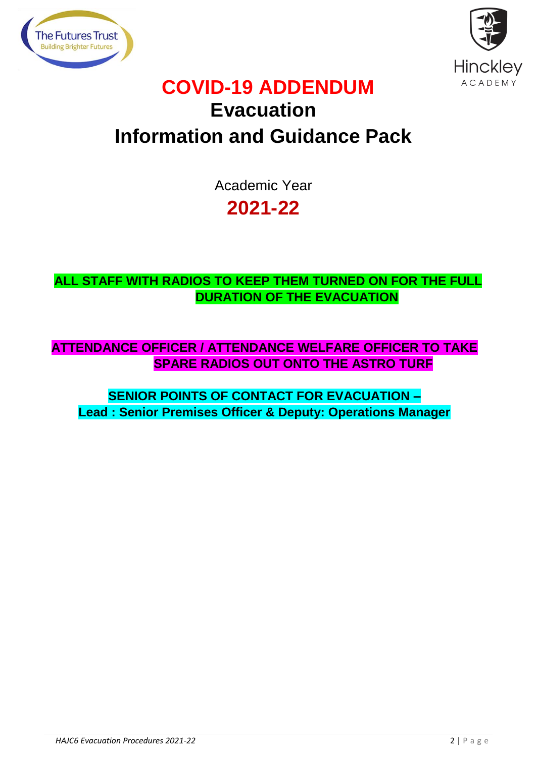



# **COVID-19 ADDENDUM Evacuation Information and Guidance Pack**

Academic Year **2021-22**

**ALL STAFF WITH RADIOS TO KEEP THEM TURNED ON FOR THE FULL DURATION OF THE EVACUATION**

**ATTENDANCE OFFICER / ATTENDANCE WELFARE OFFICER TO TAKE SPARE RADIOS OUT ONTO THE ASTRO TURF**

**SENIOR POINTS OF CONTACT FOR EVACUATION – Lead : Senior Premises Officer & Deputy: Operations Manager**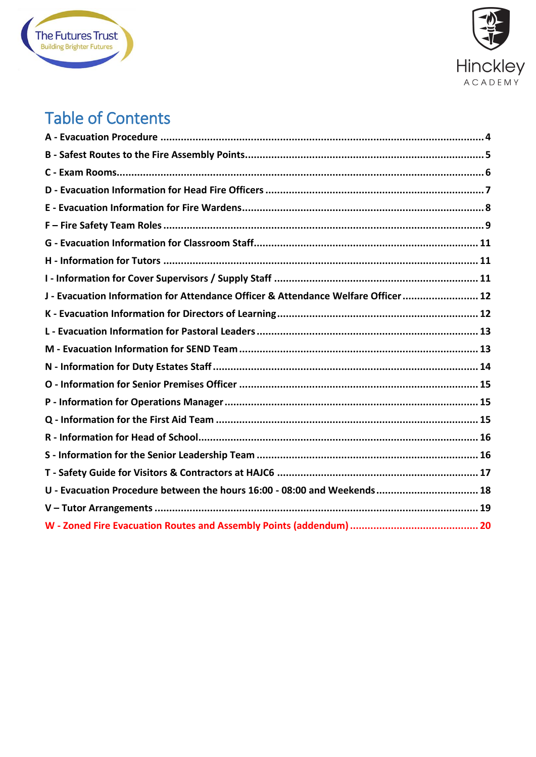



### Table of Contents

| J - Evacuation Information for Attendance Officer & Attendance Welfare Officer 12 |
|-----------------------------------------------------------------------------------|
|                                                                                   |
|                                                                                   |
|                                                                                   |
|                                                                                   |
|                                                                                   |
|                                                                                   |
|                                                                                   |
|                                                                                   |
|                                                                                   |
|                                                                                   |
| U - Evacuation Procedure between the hours 16:00 - 08:00 and Weekends 18          |
|                                                                                   |
|                                                                                   |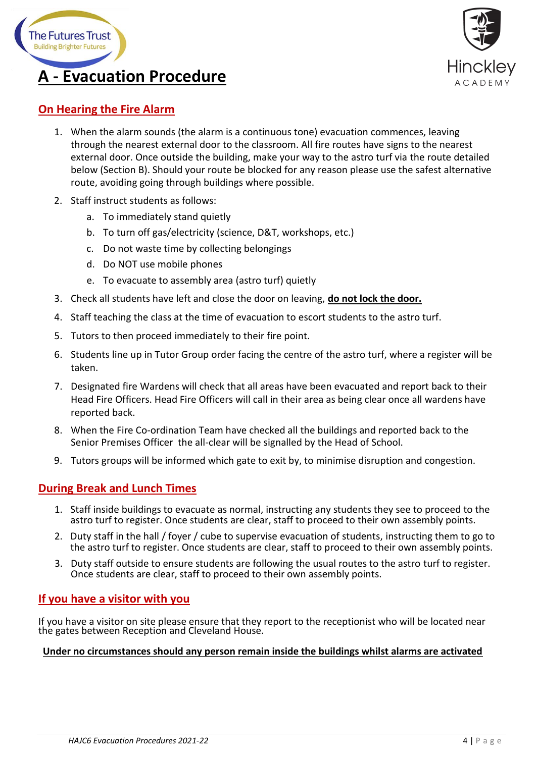



### <span id="page-3-0"></span>**On Hearing the Fire Alarm**

- 1. When the alarm sounds (the alarm is a continuous tone) evacuation commences, leaving through the nearest external door to the classroom. All fire routes have signs to the nearest external door. Once outside the building, make your way to the astro turf via the route detailed below (Section B). Should your route be blocked for any reason please use the safest alternative route, avoiding going through buildings where possible.
- 2. Staff instruct students as follows:
	- a. To immediately stand quietly
	- b. To turn off gas/electricity (science, D&T, workshops, etc.)
	- c. Do not waste time by collecting belongings
	- d. Do NOT use mobile phones
	- e. To evacuate to assembly area (astro turf) quietly
- 3. Check all students have left and close the door on leaving, **do not lock the door.**
- 4. Staff teaching the class at the time of evacuation to escort students to the astro turf.
- 5. Tutors to then proceed immediately to their fire point.
- 6. Students line up in Tutor Group order facing the centre of the astro turf, where a register will be taken.
- 7. Designated fire Wardens will check that all areas have been evacuated and report back to their Head Fire Officers. Head Fire Officers will call in their area as being clear once all wardens have reported back.
- 8. When the Fire Co-ordination Team have checked all the buildings and reported back to the Senior Premises Officer the all-clear will be signalled by the Head of School.
- 9. Tutors groups will be informed which gate to exit by, to minimise disruption and congestion.

#### **During Break and Lunch Times**

- 1. Staff inside buildings to evacuate as normal, instructing any students they see to proceed to the astro turf to register. Once students are clear, staff to proceed to their own assembly points.
- 2. Duty staff in the hall / foyer / cube to supervise evacuation of students, instructing them to go to the astro turf to register. Once students are clear, staff to proceed to their own assembly points.
- 3. Duty staff outside to ensure students are following the usual routes to the astro turf to register. Once students are clear, staff to proceed to their own assembly points.

#### **If you have a visitor with you**

If you have a visitor on site please ensure that they report to the receptionist who will be located near the gates between Reception and Cleveland House.

#### **Under no circumstances should any person remain inside the buildings whilst alarms are activated**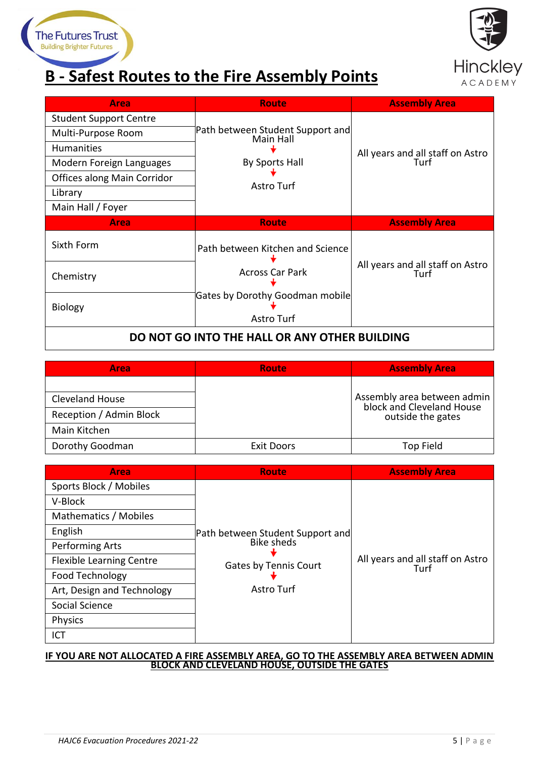# <span id="page-4-0"></span>**B - Safest Routes to the Fire Assembly Points**



| <b>Area</b>                                   | Route                                         | <b>Assembly Area</b>                     |
|-----------------------------------------------|-----------------------------------------------|------------------------------------------|
| <b>Student Support Centre</b>                 |                                               |                                          |
| Multi-Purpose Room                            | Path between Student Support and<br>Main Hall |                                          |
| Humanities                                    |                                               |                                          |
| Modern Foreign Languages                      | <b>By Sports Hall</b>                         | All years and all staff on Astro<br>Turf |
| Offices along Main Corridor                   |                                               |                                          |
| Library                                       | Astro Turf                                    |                                          |
| Main Hall / Foyer                             |                                               |                                          |
| <b>Area</b>                                   | <b>Route</b>                                  | <b>Assembly Area</b>                     |
| Sixth Form                                    | Path between Kitchen and Science              |                                          |
| Chemistry                                     | <b>Across Car Park</b>                        | All years and all staff on Astro<br>Turf |
| <b>Biology</b>                                | Gates by Dorothy Goodman mobile<br>Astro Turf |                                          |
| DO NOT GO INTO THE HALL OR ANY OTHER BUILDING |                                               |                                          |

| <b>Area</b>             | <b>Route</b>      | <b>Assembly Area</b>                                     |
|-------------------------|-------------------|----------------------------------------------------------|
|                         |                   |                                                          |
| <b>Cleveland House</b>  |                   | Assembly area between admin<br>block and Cleveland House |
| Reception / Admin Block |                   | outside the gates                                        |
| Main Kitchen            |                   |                                                          |
| Dorothy Goodman         | <b>Exit Doors</b> | Top Field                                                |

| Area                            | <b>Route</b>                                    | <b>Assembly Area</b>                     |
|---------------------------------|-------------------------------------------------|------------------------------------------|
| Sports Block / Mobiles          |                                                 |                                          |
| V-Block                         |                                                 |                                          |
| Mathematics / Mobiles           |                                                 |                                          |
| English                         | Path between Student Support and<br>abike sheds |                                          |
| Performing Arts                 |                                                 |                                          |
| <b>Flexible Learning Centre</b> | <b>Gates by Tennis Court</b>                    | All years and all staff on Astro<br>Turf |
| Food Technology                 |                                                 |                                          |
| Art, Design and Technology      | Astro Turf                                      |                                          |
| Social Science                  |                                                 |                                          |
| Physics                         |                                                 |                                          |
| ICT                             |                                                 |                                          |

#### **IF YOU ARE NOT ALLOCATED A FIRE ASSEMBLY AREA, GO TO THE ASSEMBLY AREA BETWEEN ADMIN BLOCK AND CLEVELAND HOUSE, OUTSIDE THE GATES**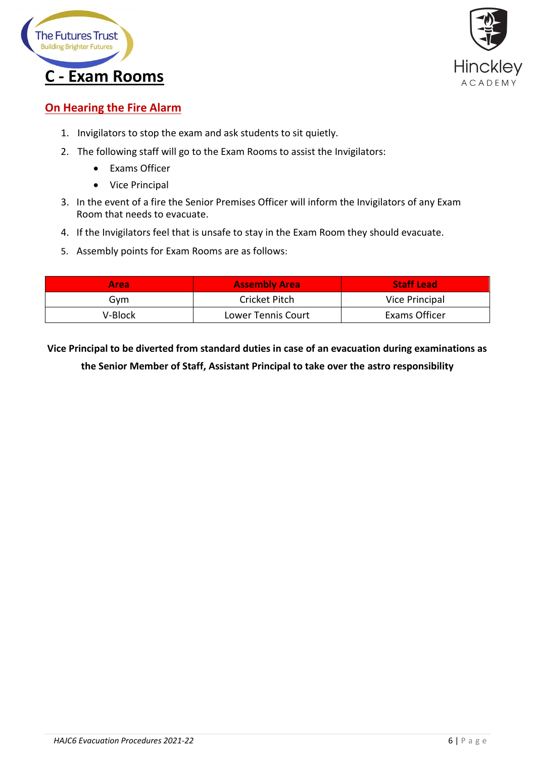



### <span id="page-5-0"></span>**On Hearing the Fire Alarm**

- 1. Invigilators to stop the exam and ask students to sit quietly.
- 2. The following staff will go to the Exam Rooms to assist the Invigilators:
	- Exams Officer
	- Vice Principal
- 3. In the event of a fire the Senior Premises Officer will inform the Invigilators of any Exam Room that needs to evacuate.
- 4. If the Invigilators feel that is unsafe to stay in the Exam Room they should evacuate.
- 5. Assembly points for Exam Rooms are as follows:

| Area     | <b>Assembly Area</b>      | <b>Staff Lead</b> |
|----------|---------------------------|-------------------|
| Gvm      | Cricket Pitch             | Vice Principal    |
| V-Block. | <b>Lower Tennis Court</b> | Exams Officer     |

**Vice Principal to be diverted from standard duties in case of an evacuation during examinations as the Senior Member of Staff, Assistant Principal to take over the astro responsibility**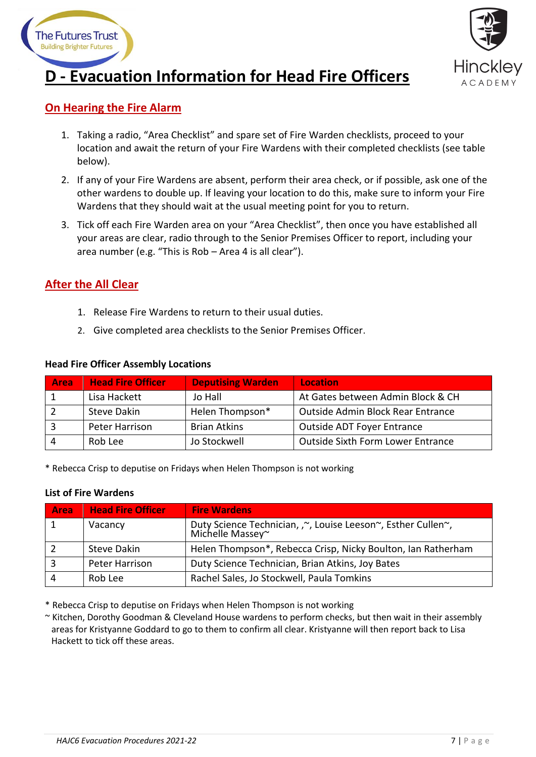



# <span id="page-6-0"></span>**D - Evacuation Information for Head Fire Officers**

### **On Hearing the Fire Alarm**

- 1. Taking a radio, "Area Checklist" and spare set of Fire Warden checklists, proceed to your location and await the return of your Fire Wardens with their completed checklists (see table below).
- 2. If any of your Fire Wardens are absent, perform their area check, or if possible, ask one of the other wardens to double up. If leaving your location to do this, make sure to inform your Fire Wardens that they should wait at the usual meeting point for you to return.
- 3. Tick off each Fire Warden area on your "Area Checklist", then once you have established all your areas are clear, radio through to the Senior Premises Officer to report, including your area number (e.g. "This is Rob – Area 4 is all clear").

### **After the All Clear**

- 1. Release Fire Wardens to return to their usual duties.
- 2. Give completed area checklists to the Senior Premises Officer.

| <b>Area</b> | <b>Head Fire Officer</b> | <b>Deputising Warden</b> | <b>Location</b>                   |
|-------------|--------------------------|--------------------------|-----------------------------------|
|             | Lisa Hackett             | Jo Hall                  | At Gates between Admin Block & CH |
|             | <b>Steve Dakin</b>       | Helen Thompson*          | Outside Admin Block Rear Entrance |
|             | Peter Harrison           | <b>Brian Atkins</b>      | Outside ADT Foyer Entrance        |
|             | Rob Lee                  | Jo Stockwell             | Outside Sixth Form Lower Entrance |

#### **Head Fire Officer Assembly Locations**

\* Rebecca Crisp to deputise on Fridays when Helen Thompson is not working

#### **List of Fire Wardens**

| Area | <b>Head Fire Officer</b> | <b>Fire Wardens</b>                                                              |
|------|--------------------------|----------------------------------------------------------------------------------|
|      | Vacancy                  | Duty Science Technician, ,~, Louise Leeson~, Esther Cullen~,<br>Michelle Massey~ |
|      | <b>Steve Dakin</b>       | Helen Thompson*, Rebecca Crisp, Nicky Boulton, Ian Ratherham                     |
|      | Peter Harrison           | Duty Science Technician, Brian Atkins, Joy Bates                                 |
|      | Rob Lee                  | Rachel Sales, Jo Stockwell, Paula Tomkins                                        |

\* Rebecca Crisp to deputise on Fridays when Helen Thompson is not working

~ Kitchen, Dorothy Goodman & Cleveland House wardens to perform checks, but then wait in their assembly areas for Kristyanne Goddard to go to them to confirm all clear. Kristyanne will then report back to Lisa Hackett to tick off these areas.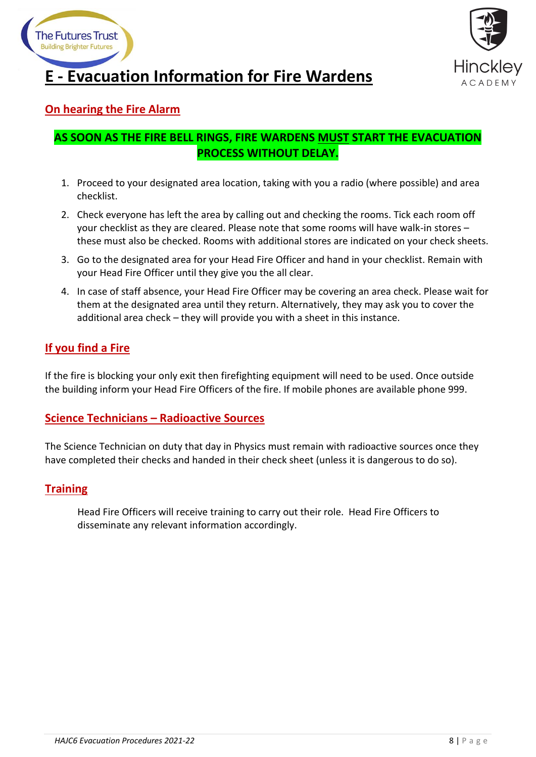

<span id="page-7-0"></span>



### **On hearing the Fire Alarm**

### **AS SOON AS THE FIRE BELL RINGS, FIRE WARDENS MUST START THE EVACUATION PROCESS WITHOUT DELAY.**

- 1. Proceed to your designated area location, taking with you a radio (where possible) and area checklist.
- 2. Check everyone has left the area by calling out and checking the rooms. Tick each room off your checklist as they are cleared. Please note that some rooms will have walk-in stores – these must also be checked. Rooms with additional stores are indicated on your check sheets.
- 3. Go to the designated area for your Head Fire Officer and hand in your checklist. Remain with your Head Fire Officer until they give you the all clear.
- 4. In case of staff absence, your Head Fire Officer may be covering an area check. Please wait for them at the designated area until they return. Alternatively, they may ask you to cover the additional area check – they will provide you with a sheet in this instance.

### **If you find a Fire**

If the fire is blocking your only exit then firefighting equipment will need to be used. Once outside the building inform your Head Fire Officers of the fire. If mobile phones are available phone 999.

#### **Science Technicians – Radioactive Sources**

The Science Technician on duty that day in Physics must remain with radioactive sources once they have completed their checks and handed in their check sheet (unless it is dangerous to do so).

#### **Training**

Head Fire Officers will receive training to carry out their role. Head Fire Officers to disseminate any relevant information accordingly.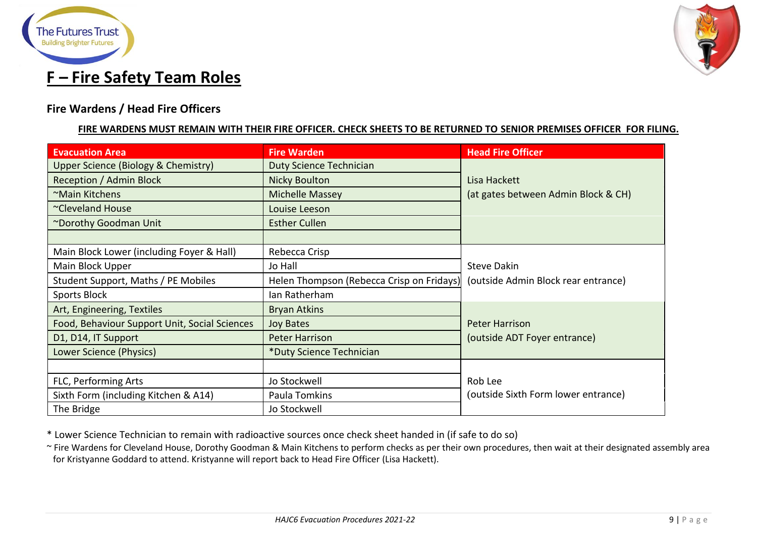



### **Fire Wardens / Head Fire Officers**

#### **FIRE WARDENS MUST REMAIN WITH THEIR FIRE OFFICER. CHECK SHEETS TO BE RETURNED TO SENIOR PREMISES OFFICER FOR FILING.**

<span id="page-8-0"></span>

| <b>Evacuation Area</b>                        | <b>Fire Warden</b>                        | <b>Head Fire Officer</b>            |
|-----------------------------------------------|-------------------------------------------|-------------------------------------|
| Upper Science (Biology & Chemistry)           | <b>Duty Science Technician</b>            |                                     |
| Reception / Admin Block                       | Nicky Boulton                             | Lisa Hackett                        |
| ~Main Kitchens                                | <b>Michelle Massey</b>                    | (at gates between Admin Block & CH) |
| ~Cleveland House                              | Louise Leeson                             |                                     |
| ~Dorothy Goodman Unit                         | <b>Esther Cullen</b>                      |                                     |
|                                               |                                           |                                     |
| Main Block Lower (including Foyer & Hall)     | Rebecca Crisp                             |                                     |
| Main Block Upper                              | Jo Hall                                   | <b>Steve Dakin</b>                  |
| Student Support, Maths / PE Mobiles           | Helen Thompson (Rebecca Crisp on Fridays) | (outside Admin Block rear entrance) |
| Sports Block                                  | Ian Ratherham                             |                                     |
| Art, Engineering, Textiles                    | <b>Bryan Atkins</b>                       |                                     |
| Food, Behaviour Support Unit, Social Sciences | <b>Joy Bates</b>                          | <b>Peter Harrison</b>               |
| D1, D14, IT Support                           | <b>Peter Harrison</b>                     | (outside ADT Foyer entrance)        |
| Lower Science (Physics)                       | *Duty Science Technician                  |                                     |
|                                               |                                           |                                     |
| FLC, Performing Arts                          | Jo Stockwell                              | Rob Lee                             |
| Sixth Form (including Kitchen & A14)          | Paula Tomkins                             | (outside Sixth Form lower entrance) |
| The Bridge                                    | Jo Stockwell                              |                                     |

\* Lower Science Technician to remain with radioactive sources once check sheet handed in (if safe to do so)

~ Fire Wardens for Cleveland House, Dorothy Goodman & Main Kitchens to perform checks as per their own procedures, then wait at their designated assembly area for Kristyanne Goddard to attend. Kristyanne will report back to Head Fire Officer (Lisa Hackett).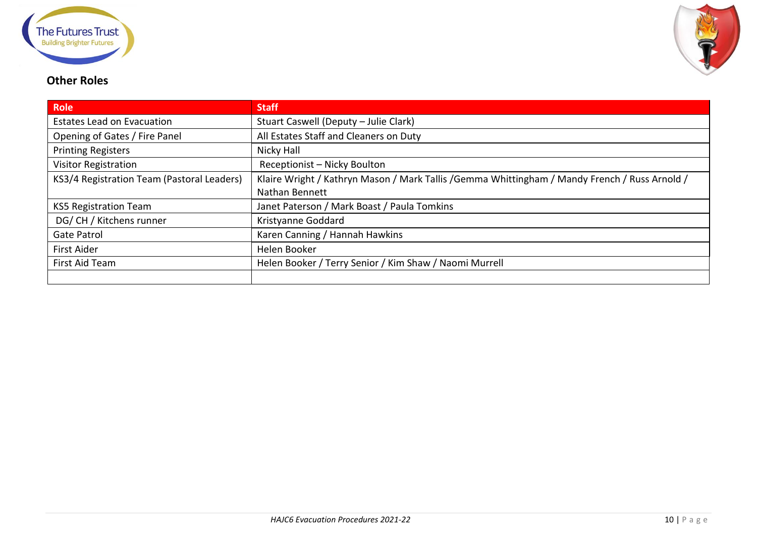



### **Other Roles**

| <b>Role</b>                                | <b>Staff</b>                                                                                   |
|--------------------------------------------|------------------------------------------------------------------------------------------------|
| <b>Estates Lead on Evacuation</b>          | Stuart Caswell (Deputy - Julie Clark)                                                          |
| Opening of Gates / Fire Panel              | All Estates Staff and Cleaners on Duty                                                         |
| <b>Printing Registers</b>                  | Nicky Hall                                                                                     |
| <b>Visitor Registration</b>                | Receptionist - Nicky Boulton                                                                   |
| KS3/4 Registration Team (Pastoral Leaders) | Klaire Wright / Kathryn Mason / Mark Tallis / Gemma Whittingham / Mandy French / Russ Arnold / |
|                                            | Nathan Bennett                                                                                 |
| <b>KS5 Registration Team</b>               | Janet Paterson / Mark Boast / Paula Tomkins                                                    |
| DG/ CH / Kitchens runner                   | Kristyanne Goddard                                                                             |
| <b>Gate Patrol</b>                         | Karen Canning / Hannah Hawkins                                                                 |
| <b>First Aider</b>                         | Helen Booker                                                                                   |
| First Aid Team                             | Helen Booker / Terry Senior / Kim Shaw / Naomi Murrell                                         |
|                                            |                                                                                                |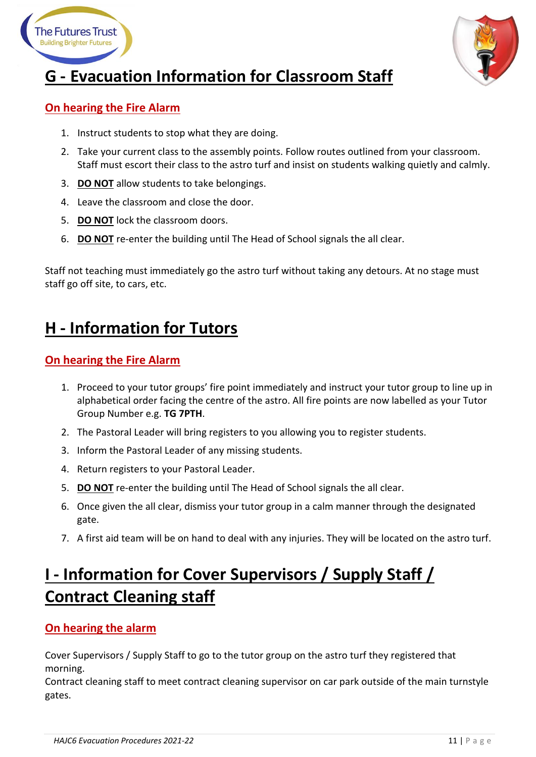



# <span id="page-10-0"></span>**G - Evacuation Information for Classroom Staff**

### **On hearing the Fire Alarm**

- 1. Instruct students to stop what they are doing.
- 2. Take your current class to the assembly points. Follow routes outlined from your classroom. Staff must escort their class to the astro turf and insist on students walking quietly and calmly.
- 3. **DO NOT** allow students to take belongings.
- 4. Leave the classroom and close the door.
- 5. **DO NOT** lock the classroom doors.
- 6. **DO NOT** re-enter the building until The Head of School signals the all clear.

Staff not teaching must immediately go the astro turf without taking any detours. At no stage must staff go off site, to cars, etc.

### <span id="page-10-1"></span>**H - Information for Tutors**

### **On hearing the Fire Alarm**

- 1. Proceed to your tutor groups' fire point immediately and instruct your tutor group to line up in alphabetical order facing the centre of the astro. All fire points are now labelled as your Tutor Group Number e.g. **TG 7PTH**.
- 2. The Pastoral Leader will bring registers to you allowing you to register students.
- 3. Inform the Pastoral Leader of any missing students.
- 4. Return registers to your Pastoral Leader.
- 5. **DO NOT** re-enter the building until The Head of School signals the all clear.
- 6. Once given the all clear, dismiss your tutor group in a calm manner through the designated gate.
- 7. A first aid team will be on hand to deal with any injuries. They will be located on the astro turf.

### <span id="page-10-2"></span>**I - Information for Cover Supervisors / Supply Staff / Contract Cleaning staff**

### **On hearing the alarm**

Cover Supervisors / Supply Staff to go to the tutor group on the astro turf they registered that morning.

Contract cleaning staff to meet contract cleaning supervisor on car park outside of the main turnstyle gates.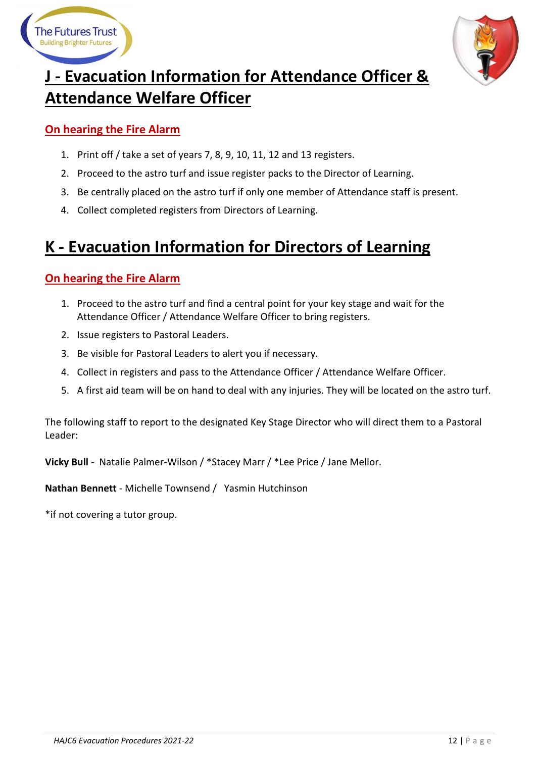



# <span id="page-11-0"></span>**J - Evacuation Information for Attendance Officer & Attendance Welfare Officer**

### **On hearing the Fire Alarm**

- 1. Print off / take a set of years 7, 8, 9, 10, 11, 12 and 13 registers.
- 2. Proceed to the astro turf and issue register packs to the Director of Learning.
- 3. Be centrally placed on the astro turf if only one member of Attendance staff is present.
- 4. Collect completed registers from Directors of Learning.

### <span id="page-11-1"></span>**K - Evacuation Information for Directors of Learning**

### **On hearing the Fire Alarm**

- 1. Proceed to the astro turf and find a central point for your key stage and wait for the Attendance Officer / Attendance Welfare Officer to bring registers.
- 2. Issue registers to Pastoral Leaders.
- 3. Be visible for Pastoral Leaders to alert you if necessary.
- 4. Collect in registers and pass to the Attendance Officer / Attendance Welfare Officer.
- 5. A first aid team will be on hand to deal with any injuries. They will be located on the astro turf.

The following staff to report to the designated Key Stage Director who will direct them to a Pastoral Leader:

**Vicky Bull** - Natalie Palmer-Wilson / \*Stacey Marr / \*Lee Price / Jane Mellor.

**Nathan Bennett** - Michelle Townsend / Yasmin Hutchinson

\*if not covering a tutor group.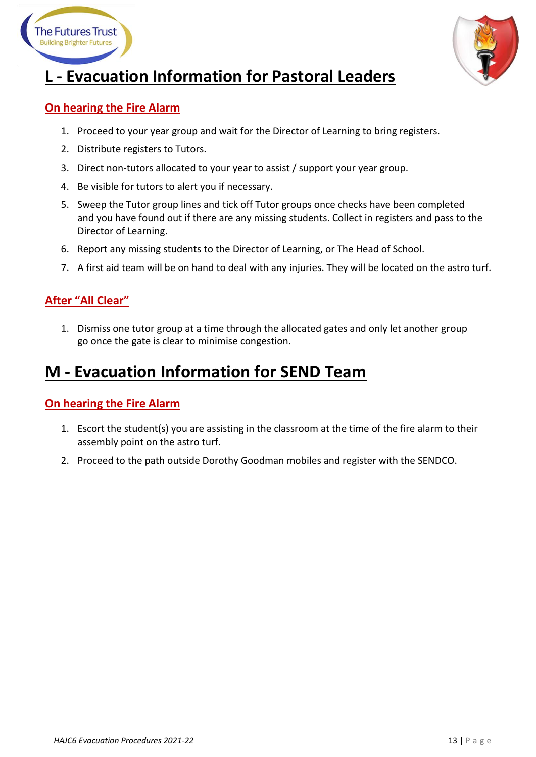



## <span id="page-12-0"></span>**L - Evacuation Information for Pastoral Leaders**

### **On hearing the Fire Alarm**

- 1. Proceed to your year group and wait for the Director of Learning to bring registers.
- 2. Distribute registers to Tutors.
- 3. Direct non-tutors allocated to your year to assist / support your year group.
- 4. Be visible for tutors to alert you if necessary.
- 5. Sweep the Tutor group lines and tick off Tutor groups once checks have been completed and you have found out if there are any missing students. Collect in registers and pass to the Director of Learning.
- 6. Report any missing students to the Director of Learning, or The Head of School.
- 7. A first aid team will be on hand to deal with any injuries. They will be located on the astro turf.

### **After "All Clear"**

1. Dismiss one tutor group at a time through the allocated gates and only let another group go once the gate is clear to minimise congestion.

### <span id="page-12-1"></span>**M - Evacuation Information for SEND Team**

#### **On hearing the Fire Alarm**

- 1. Escort the student(s) you are assisting in the classroom at the time of the fire alarm to their assembly point on the astro turf.
- 2. Proceed to the path outside Dorothy Goodman mobiles and register with the SENDCO.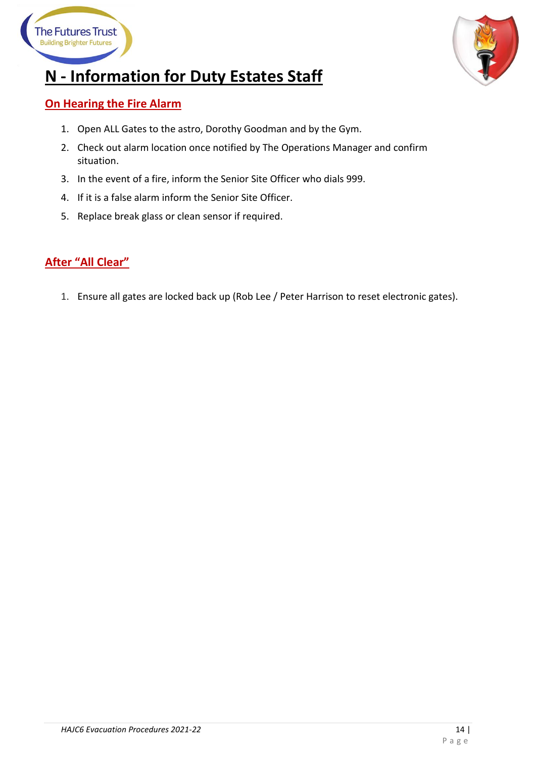



## <span id="page-13-0"></span>**N - Information for Duty Estates Staff**

### **On Hearing the Fire Alarm**

- 1. Open ALL Gates to the astro, Dorothy Goodman and by the Gym.
- 2. Check out alarm location once notified by The Operations Manager and confirm situation.
- 3. In the event of a fire, inform the Senior Site Officer who dials 999.
- 4. If it is a false alarm inform the Senior Site Officer.
- 5. Replace break glass or clean sensor if required.

### **After "All Clear"**

1. Ensure all gates are locked back up (Rob Lee / Peter Harrison to reset electronic gates).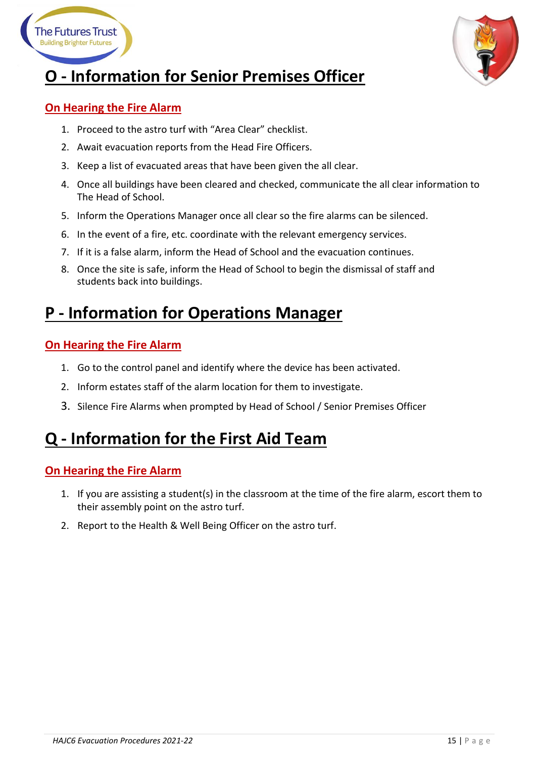



### <span id="page-14-0"></span>**O - Information for Senior Premises Officer**

### **On Hearing the Fire Alarm**

- 1. Proceed to the astro turf with "Area Clear" checklist.
- 2. Await evacuation reports from the Head Fire Officers.
- 3. Keep a list of evacuated areas that have been given the all clear.
- 4. Once all buildings have been cleared and checked, communicate the all clear information to The Head of School.
- 5. Inform the Operations Manager once all clear so the fire alarms can be silenced.
- 6. In the event of a fire, etc. coordinate with the relevant emergency services.
- 7. If it is a false alarm, inform the Head of School and the evacuation continues.
- 8. Once the site is safe, inform the Head of School to begin the dismissal of staff and students back into buildings.

### <span id="page-14-1"></span>**P - Information for Operations Manager**

### **On Hearing the Fire Alarm**

- 1. Go to the control panel and identify where the device has been activated.
- 2. Inform estates staff of the alarm location for them to investigate.
- 3. Silence Fire Alarms when prompted by Head of School / Senior Premises Officer

### <span id="page-14-2"></span>**Q - Information for the First Aid Team**

### **On Hearing the Fire Alarm**

- 1. If you are assisting a student(s) in the classroom at the time of the fire alarm, escort them to their assembly point on the astro turf.
- 2. Report to the Health & Well Being Officer on the astro turf.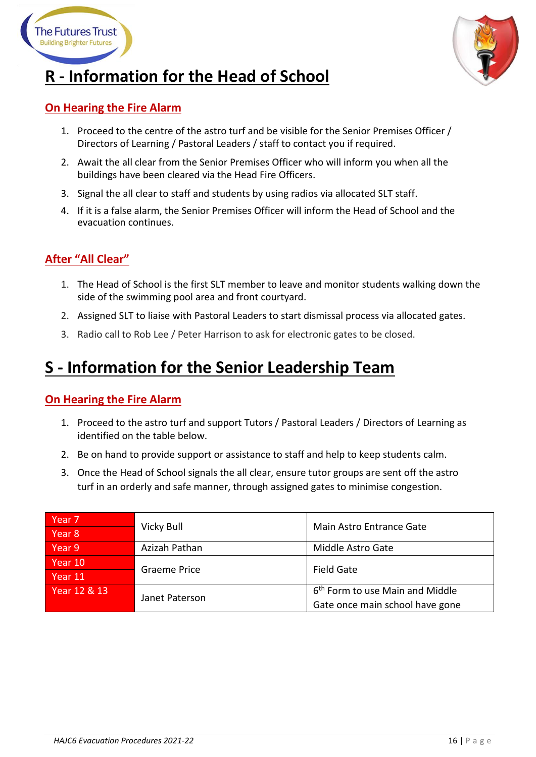



## <span id="page-15-0"></span>**R - Information for the Head of School**

### **On Hearing the Fire Alarm**

- 1. Proceed to the centre of the astro turf and be visible for the Senior Premises Officer / Directors of Learning / Pastoral Leaders / staff to contact you if required.
- 2. Await the all clear from the Senior Premises Officer who will inform you when all the buildings have been cleared via the Head Fire Officers.
- 3. Signal the all clear to staff and students by using radios via allocated SLT staff.
- 4. If it is a false alarm, the Senior Premises Officer will inform the Head of School and the evacuation continues.

### **After "All Clear"**

- 1. The Head of School is the first SLT member to leave and monitor students walking down the side of the swimming pool area and front courtyard.
- 2. Assigned SLT to liaise with Pastoral Leaders to start dismissal process via allocated gates.
- 3. Radio call to Rob Lee / Peter Harrison to ask for electronic gates to be closed.

### <span id="page-15-1"></span>**S - Information for the Senior Leadership Team**

### **On Hearing the Fire Alarm**

- 1. Proceed to the astro turf and support Tutors / Pastoral Leaders / Directors of Learning as identified on the table below.
- 2. Be on hand to provide support or assistance to staff and help to keep students calm.
- 3. Once the Head of School signals the all clear, ensure tutor groups are sent off the astro turf in an orderly and safe manner, through assigned gates to minimise congestion.

| Year <sub>7</sub> |                | Main Astro Entrance Gate                    |
|-------------------|----------------|---------------------------------------------|
| Year <sub>8</sub> | Vicky Bull     |                                             |
| Year 9            | Azizah Pathan  | Middle Astro Gate                           |
| Year 10           | Graeme Price   | <b>Field Gate</b>                           |
| Year 11           |                |                                             |
| Year 12 & 13      | Janet Paterson | 6 <sup>th</sup> Form to use Main and Middle |
|                   |                | Gate once main school have gone             |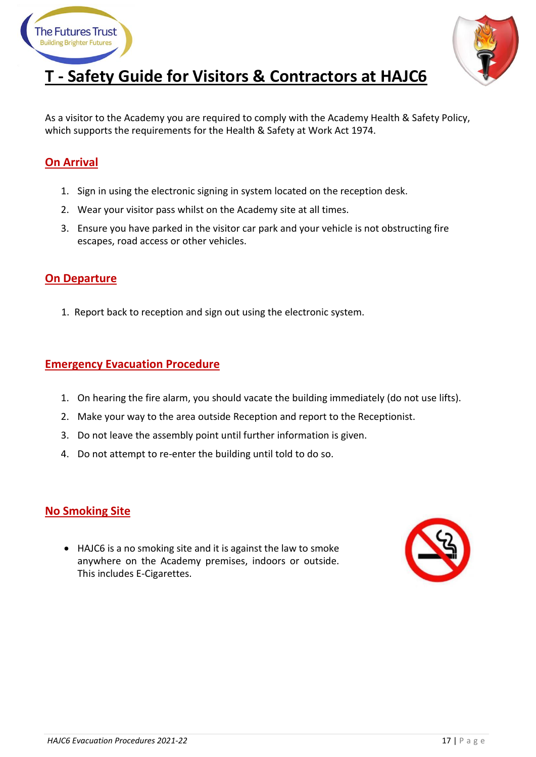



## <span id="page-16-0"></span>**T - Safety Guide for Visitors & Contractors at HAJC6**

As a visitor to the Academy you are required to comply with the Academy Health & Safety Policy, which supports the requirements for the Health & Safety at Work Act 1974.

### **On Arrival**

- 1. Sign in using the electronic signing in system located on the reception desk.
- 2. Wear your visitor pass whilst on the Academy site at all times.
- 3. Ensure you have parked in the visitor car park and your vehicle is not obstructing fire escapes, road access or other vehicles.

### **On Departure**

1. Report back to reception and sign out using the electronic system.

### **Emergency Evacuation Procedure**

- 1. On hearing the fire alarm, you should vacate the building immediately (do not use lifts).
- 2. Make your way to the area outside Reception and report to the Receptionist.
- 3. Do not leave the assembly point until further information is given.
- 4. Do not attempt to re-enter the building until told to do so.

#### **No Smoking Site**

• HAJC6 is a no smoking site and it is against the law to smoke anywhere on the Academy premises, indoors or outside. This includes E-Cigarettes.

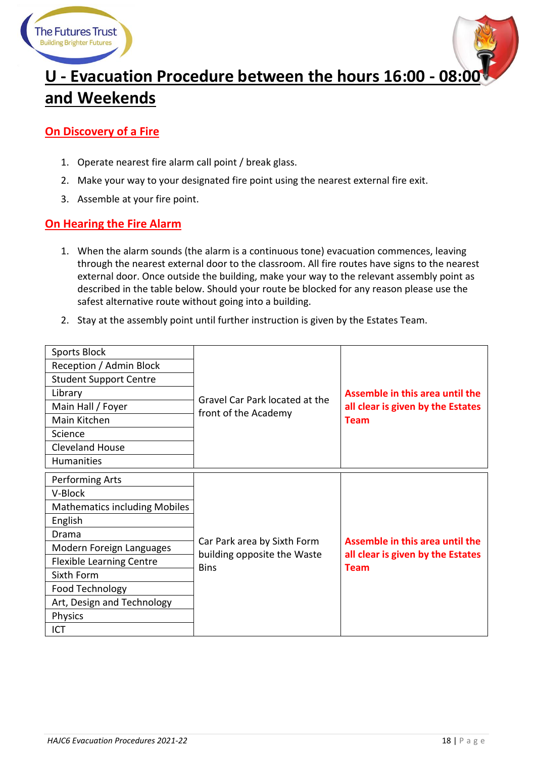



# <span id="page-17-0"></span>**U - Evacuation Procedure between the hours 16:00 - 08:00 and Weekends**

### **On Discovery of a Fire**

- 1. Operate nearest fire alarm call point / break glass.
- 2. Make your way to your designated fire point using the nearest external fire exit.
- 3. Assemble at your fire point.

### **On Hearing the Fire Alarm**

- 1. When the alarm sounds (the alarm is a continuous tone) evacuation commences, leaving through the nearest external door to the classroom. All fire routes have signs to the nearest external door. Once outside the building, make your way to the relevant assembly point as described in the table below. Should your route be blocked for any reason please use the safest alternative route without going into a building.
- 2. Stay at the assembly point until further instruction is given by the Estates Team.

| <b>Sports Block</b>                  |                                                            | Assemble in this area until the<br>all clear is given by the Estates                |
|--------------------------------------|------------------------------------------------------------|-------------------------------------------------------------------------------------|
| Reception / Admin Block              |                                                            |                                                                                     |
| <b>Student Support Centre</b>        |                                                            |                                                                                     |
| Library                              | Gravel Car Park located at the                             |                                                                                     |
| Main Hall / Foyer                    | front of the Academy                                       |                                                                                     |
| Main Kitchen                         |                                                            | <b>Team</b>                                                                         |
| Science                              |                                                            |                                                                                     |
| <b>Cleveland House</b>               |                                                            |                                                                                     |
| Humanities                           |                                                            |                                                                                     |
| Performing Arts                      |                                                            |                                                                                     |
| V-Block                              |                                                            | Assemble in this area until the<br>all clear is given by the Estates<br><b>Team</b> |
| <b>Mathematics including Mobiles</b> |                                                            |                                                                                     |
| English                              |                                                            |                                                                                     |
| Drama                                |                                                            |                                                                                     |
| Modern Foreign Languages             | Car Park area by Sixth Form<br>building opposite the Waste |                                                                                     |
| <b>Flexible Learning Centre</b>      | <b>Bins</b>                                                |                                                                                     |
| Sixth Form                           |                                                            |                                                                                     |
| Food Technology                      |                                                            |                                                                                     |
| Art, Design and Technology           |                                                            |                                                                                     |
| <b>Physics</b>                       |                                                            |                                                                                     |
| ICT                                  |                                                            |                                                                                     |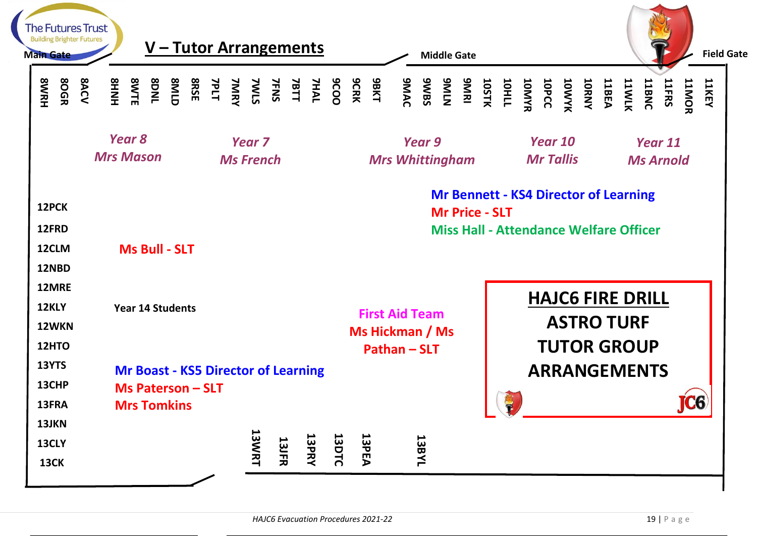| <b>The Futures Trust</b><br><b>Building Brighter Futures</b><br><b>Main Gate</b> | V – Tutor Arrangements                                                                       |                                                              | <b>Middle Gate</b>                                            | <b>Field Gate</b>                                                                                                                                                                                                                                    |
|----------------------------------------------------------------------------------|----------------------------------------------------------------------------------------------|--------------------------------------------------------------|---------------------------------------------------------------|------------------------------------------------------------------------------------------------------------------------------------------------------------------------------------------------------------------------------------------------------|
| <b>80GR</b><br><b>SWRH</b>                                                       | <b>8ACV</b><br><b>SHNHS</b>                                                                  |                                                              |                                                               | <b>11KEY</b><br><b>11ERS SANTAS DRAGO DRAGO DRAGO DRAGO DRAGO DRAGO DRAGO DRAGO DRAGO DRAGO DRAGO DRAGO DRAGO DRAGO DRAGO DRAGO DRAGO DRAGO DRAGO DRAGO DRAGO DRAGO DRAGO DRAGO DRAGO DRAGO DRAGO DRAGO DRAGO DRAGO DRAGO DRAGO DRAGO DRAGO DRAG</b> |
|                                                                                  | Year 8<br><b>Mrs Mason</b>                                                                   | Year <sub>7</sub><br><b>Ms French</b>                        | Year 9<br><b>Mrs Whittingham</b>                              | Year 10<br>Year 11<br><b>Mr Tallis</b><br><b>Ms Arnold</b>                                                                                                                                                                                           |
| 12PCK<br>12FRD<br>12CLM<br>12NBD                                                 | <b>Ms Bull - SLT</b>                                                                         |                                                              | <b>Mr Price - SLT</b>                                         | <b>Mr Bennett - KS4 Director of Learning</b><br><b>Miss Hall - Attendance Welfare Officer</b>                                                                                                                                                        |
| 12MRE<br>12KLY<br>12WKN<br>12HTO                                                 | <b>Year 14 Students</b>                                                                      |                                                              | <b>First Aid Team</b><br>Ms Hickman / Ms<br><b>Pathan-SLT</b> | <b>HAJC6 FIRE DRILL</b><br><b>ASTRO TURF</b><br><b>TUTOR GROUP</b>                                                                                                                                                                                   |
| 13YTS<br>13CHP<br>13FRA                                                          | <b>Mr Boast - KS5 Director of Learning</b><br><b>Ms Paterson - SLT</b><br><b>Mrs Tomkins</b> |                                                              |                                                               | <b>ARRANGEMENTS</b><br><b>JC6</b><br>$\sqrt{r}$                                                                                                                                                                                                      |
| 13JKN<br>13CLY<br><b>13CK</b>                                                    |                                                                                              | <b>13WRT</b><br><b>13DTC</b><br><b>13PRY</b><br><b>13JFR</b> | <b>13PEA</b><br><b>1788YL</b>                                 |                                                                                                                                                                                                                                                      |